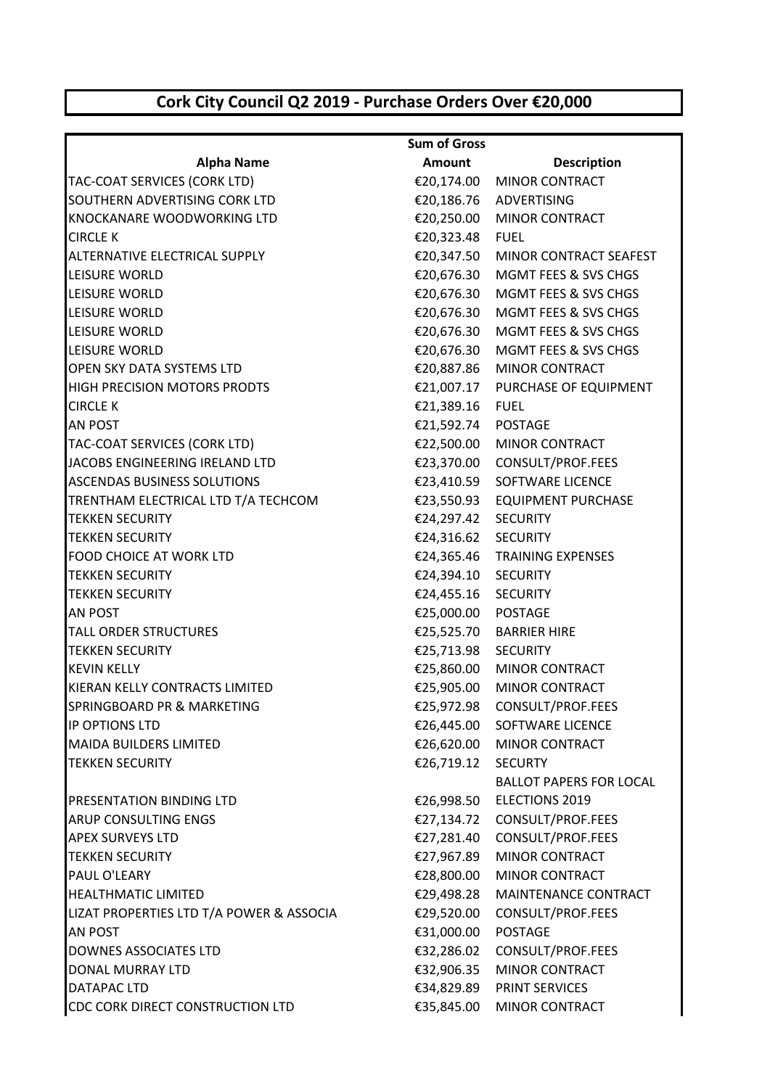## **Cork City Council Q2 2019 - Purchase Orders Over €20,000**

|                                          | <b>Sum of Gross</b> |                                   |
|------------------------------------------|---------------------|-----------------------------------|
| <b>Alpha Name</b>                        | Amount              | <b>Description</b>                |
| TAC-COAT SERVICES (CORK LTD)             |                     | €20,174.00 MINOR CONTRACT         |
| SOUTHERN ADVERTISING CORK LTD            |                     | €20,186.76 ADVERTISING            |
| KNOCKANARE WOODWORKING LTD               |                     | €20,250.00 MINOR CONTRACT         |
| <b>CIRCLE K</b>                          | €20,323.48 FUEL     |                                   |
| <b>ALTERNATIVE ELECTRICAL SUPPLY</b>     |                     | €20,347.50 MINOR CONTRACT SEAFEST |
| LEISURE WORLD                            |                     | €20,676.30 MGMT FEES & SVS CHGS   |
| LEISURE WORLD                            |                     | €20,676.30 MGMT FEES & SVS CHGS   |
| LEISURE WORLD                            | €20,676.30          | MGMT FEES & SVS CHGS              |
| LEISURE WORLD                            |                     | €20,676.30 MGMT FEES & SVS CHGS   |
| LEISURE WORLD                            |                     | €20,676.30 MGMT FEES & SVS CHGS   |
| <b>OPEN SKY DATA SYSTEMS LTD</b>         |                     | €20,887.86 MINOR CONTRACT         |
| <b>HIGH PRECISION MOTORS PRODTS</b>      | €21,007.17          | PURCHASE OF EQUIPMENT             |
| <b>CIRCLE K</b>                          | €21,389.16 FUEL     |                                   |
| <b>AN POST</b>                           | €21,592.74 POSTAGE  |                                   |
| TAC-COAT SERVICES (CORK LTD)             |                     | €22,500.00 MINOR CONTRACT         |
| JACOBS ENGINEERING IRELAND LTD           |                     | €23,370.00 CONSULT/PROF.FEES      |
| <b>ASCENDAS BUSINESS SOLUTIONS</b>       |                     | €23,410.59 SOFTWARE LICENCE       |
| TRENTHAM ELECTRICAL LTD T/A TECHCOM      |                     | €23,550.93 EQUIPMENT PURCHASE     |
| <b>TEKKEN SECURITY</b>                   | €24,297.42          | <b>SECURITY</b>                   |
| <b>TEKKEN SECURITY</b>                   | €24,316.62 SECURITY |                                   |
| <b>FOOD CHOICE AT WORK LTD</b>           |                     | €24,365.46 TRAINING EXPENSES      |
| <b>TEKKEN SECURITY</b>                   | €24,394.10 SECURITY |                                   |
| <b>TEKKEN SECURITY</b>                   | €24,455.16 SECURITY |                                   |
| <b>AN POST</b>                           | €25,000.00 POSTAGE  |                                   |
| <b>TALL ORDER STRUCTURES</b>             |                     | €25,525.70 BARRIER HIRE           |
| <b>TEKKEN SECURITY</b>                   | €25,713.98 SECURITY |                                   |
| <b>KEVIN KELLY</b>                       | €25,860.00          | <b>MINOR CONTRACT</b>             |
| KIERAN KELLY CONTRACTS LIMITED           |                     | €25,905.00 MINOR CONTRACT         |
| <b>SPRINGBOARD PR &amp; MARKETING</b>    | €25,972.98          | CONSULT/PROF.FEES                 |
| <b>IP OPTIONS LTD</b>                    | €26,445.00          | <b>SOFTWARE LICENCE</b>           |
| <b>MAIDA BUILDERS LIMITED</b>            | €26,620.00          | <b>MINOR CONTRACT</b>             |
| <b>TEKKEN SECURITY</b>                   | €26,719.12          | <b>SECURTY</b>                    |
|                                          |                     | <b>BALLOT PAPERS FOR LOCAL</b>    |
| <b>PRESENTATION BINDING LTD</b>          | €26,998.50          | <b>ELECTIONS 2019</b>             |
| <b>ARUP CONSULTING ENGS</b>              | €27,134.72          | CONSULT/PROF.FEES                 |
| <b>APEX SURVEYS LTD</b>                  | €27,281.40          | CONSULT/PROF.FEES                 |
| <b>TEKKEN SECURITY</b>                   | €27,967.89          | <b>MINOR CONTRACT</b>             |
| PAUL O'LEARY                             | €28,800.00          | MINOR CONTRACT                    |
| <b>HEALTHMATIC LIMITED</b>               | €29,498.28          | MAINTENANCE CONTRACT              |
| LIZAT PROPERTIES LTD T/A POWER & ASSOCIA | €29,520.00          | CONSULT/PROF.FEES                 |
| <b>AN POST</b>                           | €31,000.00          | <b>POSTAGE</b>                    |
| <b>DOWNES ASSOCIATES LTD</b>             | €32,286.02          | CONSULT/PROF.FEES                 |
| <b>DONAL MURRAY LTD</b>                  | €32,906.35          | <b>MINOR CONTRACT</b>             |
| <b>DATAPAC LTD</b>                       | €34,829.89          | PRINT SERVICES                    |
| CDC CORK DIRECT CONSTRUCTION LTD         | €35,845.00          | MINOR CONTRACT                    |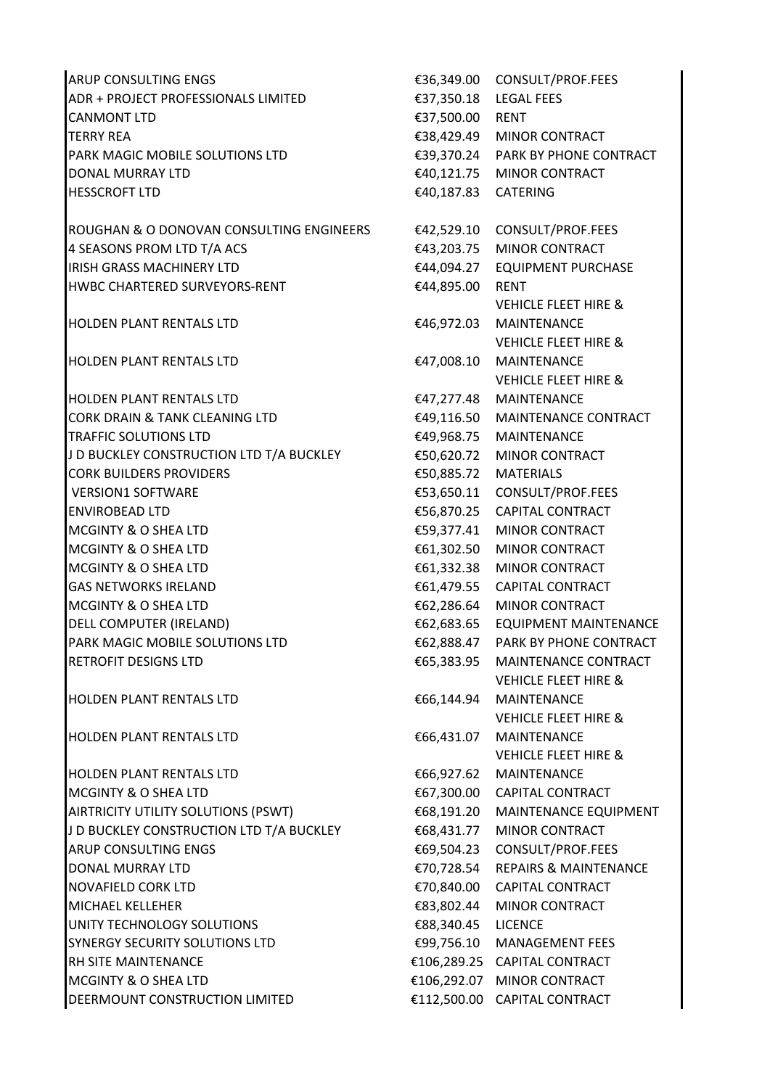ARUP CONSULTING ENGS €36,349.00 CONSULT/PROF.FEES ADR + PROJECT PROFESSIONALS LIMITED €37,350.18 LEGAL FEES CANMONT LTD **€37,500.00** RENT TERRY REA **€38.429.49** MINOR CONTRACT PARK MAGIC MOBILE SOLUTIONS LTD €39,370.24 PARK BY PHONE CONTRACT DONAL MURRAY LTD €40,121.75 MINOR CONTRACT HESSCROFT LTD €40,187.83 CATERING ROUGHAN & O DONOVAN CONSULTING ENGINEERS €42,529.10 CONSULT/PROF.FEES  $4$  SEASONS PROM LTD T/A ACS  $\epsilon$ 43.203.75 MINOR CONTRACT IRISH GRASS MACHINERY LTD 
■ e44,094.27 EQUIPMENT PURCHASE HWBC CHARTERED SURVEYORS-RENT €44,895.00 RENT HOLDEN PLANT RENTALS LTD HOLDEN PLANT RENTALS LTD HOLDEN PLANT RENTALS LTD CORK DRAIN & TANK CLEANING LTD €49,116.50 MAINTENANCE CONTRACT TRAFFIC SOLUTIONS LTD €49,968.75 MAINTENANCE J D BUCKLEY CONSTRUCTION LTD T/A BUCKLEY €50,620.72 MINOR CONTRACT CORK BUILDERS PROVIDERS €50,885.72 MATERIALS VERSION1 SOFTWARE €53,650.11 CONSULT/PROF.FEES ENVIROBEAD LTD €56,870.25 CAPITAL CONTRACT MCGINTY & O SHEA LTD **ES9,377.41** MINOR CONTRACT MCGINTY & O SHEA LTD €61,302.50 MINOR CONTRACT MCGINTY & O SHEA LTD  $\epsilon$ 61,332.38 MINOR CONTRACT GAS NETWORKS IRELAND **€61,479.55** CAPITAL CONTRACT MCGINTY & O SHEA LTD €62,286.64 MINOR CONTRACT DELL COMPUTER (IRELAND) €62,683.65 EQUIPMENT MAINTENANCE PARK MAGIC MOBILE SOLUTIONS LTD **€62,888.47** PARK BY PHONE CONTRACT RETROFIT DESIGNS LTD €65,383.95 MAINTENANCE CONTRACT HOLDEN PLANT RENTALS LTD HOLDEN PLANT RENTALS LTD HOLDEN PLANT RENTALS LTD MCGINTY & O SHEA LTD external state of the CONTRACT €67,300.00 CAPITAL CONTRACT AIRTRICITY UTILITY SOLUTIONS (PSWT) €68,191.20 MAINTENANCE EQUIPMENT J D BUCKLEY CONSTRUCTION LTD T/A BUCKLEY €68,431.77 MINOR CONTRACT ARUP CONSULTING ENGS extended to the second second to the second second to the second second second to the second second second second second second second second second second second second second second second second se DONAL MURRAY LTD €70,728.54 REPAIRS & MAINTENANCE NOVAFIELD CORK LTD 
■ NOVAFIELD CORK LTD
■ NOVAFIELD CONTRACT MICHAEL KELLEHER **€83,802.44** MINOR CONTRACT UNITY TECHNOLOGY SOLUTIONS €88,340.45 LICENCE SYNERGY SECURITY SOLUTIONS LTD €99,756.10 MANAGEMENT FEES RH SITE MAINTENANCE €106,289.25 CAPITAL CONTRACT MCGINTY & O SHEA LTD €106,292.07 MINOR CONTRACT DEERMOUNT CONSTRUCTION LIMITED €112,500.00 CAPITAL CONTRACT

VEHICLE FLEET HIRE & €46,972.03 MAINTENANCE VEHICLE FLEET HIRE & €47,008.10 MAINTENANCE VEHICLE FLEET HIRE & €47,277.48 MAINTENANCE VEHICLE FLEET HIRE & €66,144.94 MAINTENANCE VEHICLE FLEET HIRE & €66,431.07 MAINTENANCE VEHICLE FLEET HIRE & €66,927.62 MAINTENANCE